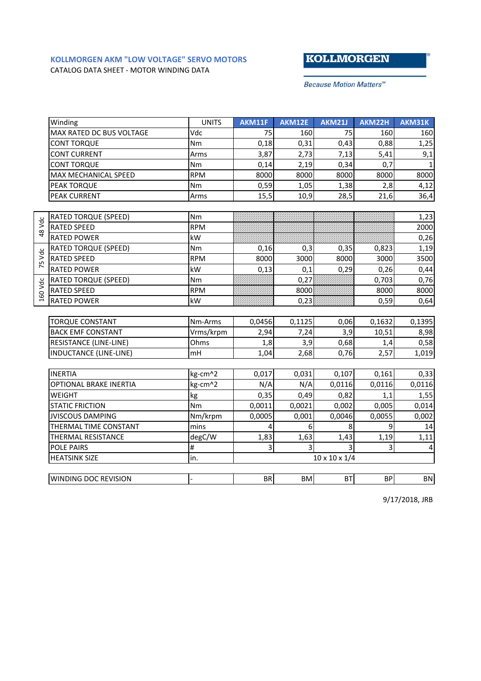## **KOLLMORGEN AKM "LOW VOLTAGE" SERVO MOTORS** CATALOG DATA SHEET - MOTOR WINDING DATA

## **KOLLMORGEN**

**Because Motion Matters™** 

|         | Winding                       | <b>UNITS</b> | AKM11F                    | AKM12E    | <b>AKM21J</b> | AKM22H                  | AKM31K         |
|---------|-------------------------------|--------------|---------------------------|-----------|---------------|-------------------------|----------------|
|         | MAX RATED DC BUS VOLTAGE      | Vdc          | 75                        | 160       | 75            | 160                     | 160            |
|         | <b>CONT TORQUE</b>            | Nm           | 0,18                      | 0,31      | 0,43          | 0,88                    | 1,25           |
|         | <b>CONT CURRENT</b>           | Arms         | 3,87                      | 2,73      | 7,13          | 5,41                    | 9,1            |
|         | <b>CONT TORQUE</b>            | Nm           | 0,14                      | 2,19      | 0,34          | 0,7                     | $\mathbf{1}$   |
|         | MAX MECHANICAL SPEED          | <b>RPM</b>   | 8000                      | 8000      | 8000          | 8000                    | 8000           |
|         | PEAK TORQUE                   | Nm           | 0,59                      | 1,05      | 1,38          | 2,8                     | 4,12           |
|         | <b>PEAK CURRENT</b>           | Arms         | 15,5                      | 10,9      | 28,5          | 21,6                    | 36,4           |
|         |                               |              |                           |           |               |                         |                |
| 48 Vdc  | <b>RATED TORQUE (SPEED)</b>   | Nm           |                           |           |               |                         | 1,23           |
|         | <b>RATED SPEED</b>            | <b>RPM</b>   |                           |           |               |                         | 2000           |
|         | <b>RATED POWER</b>            | kW           |                           |           |               |                         | 0,26           |
| 75 Vdc  | <b>RATED TORQUE (SPEED)</b>   | Nm           | 0,16                      | 0,3       | 0,35          | 0,823                   | 1,19           |
|         | <b>RATED SPEED</b>            | <b>RPM</b>   | 8000                      | 3000      | 8000          | 3000                    | 3500           |
|         | <b>RATED POWER</b>            | kW           | 0,13                      | 0,1       | 0,29          | 0,26                    | 0,44           |
| 160 Vdc | <b>RATED TORQUE (SPEED)</b>   | Nm           |                           | 0,27      |               | 0,703                   | 0,76           |
|         | <b>RATED SPEED</b>            | <b>RPM</b>   |                           | 8000      |               | 8000                    | 8000           |
|         | <b>RATED POWER</b>            | kW           |                           | 0,23      |               | 0,59                    | 0,64           |
|         |                               |              |                           |           |               |                         |                |
|         | <b>TORQUE CONSTANT</b>        | Nm-Arms      | 0,0456                    | 0,1125    | 0,06          | 0,1632                  | 0,1395         |
|         | <b>BACK EMF CONSTANT</b>      | Vrms/krpm    | 2,94                      | 7,24      | 3,9           | 10,51                   | 8,98           |
|         | <b>RESISTANCE (LINE-LINE)</b> | Ohms         | 1,8                       | 3,9       | 0,68          | 1,4                     | 0,58           |
|         | <b>INDUCTANCE (LINE-LINE)</b> | mH           | 1,04                      | 2,68      | 0,76          | 2,57                    | 1,019          |
|         |                               |              |                           |           |               |                         |                |
|         | <b>INERTIA</b>                | kg-cm^2      | 0,017                     | 0,031     | 0,107         | 0,161                   | 0,33           |
|         | <b>OPTIONAL BRAKE INERTIA</b> | kg-cm^2      | N/A                       | N/A       | 0,0116        | 0,0116                  | 0,0116         |
|         | WEIGHT                        | kg           | 0,35                      | 0,49      | 0,82          | 1,1                     | 1,55           |
|         | <b>STATIC FRICTION</b>        | Nm           | 0,0011                    | 0,0021    | 0,002         | 0,005                   | 0,014          |
|         | <b>JVISCOUS DAMPING</b>       | Nm/krpm      | 0,0005                    | 0,001     | 0,0046        | 0,0055                  | 0,002          |
|         | THERMAL TIME CONSTANT         | mins         | 4                         | 6         | 8             | 9                       | 14             |
|         | THERMAL RESISTANCE            | degC/W       | 1,83                      | 1,63      | 1,43          | 1,19                    | 1,11           |
|         | POLE PAIRS                    | #            | 3                         | 3         | 3             | $\overline{\mathbf{3}}$ | $\overline{4}$ |
|         | <b>HEATSINK SIZE</b>          | in.          | $10 \times 10 \times 1/4$ |           |               |                         |                |
|         |                               |              |                           |           |               |                         |                |
|         | WINDING DOC REVISION          |              | <b>BR</b>                 | <b>BM</b> | <b>BT</b>     | <b>BP</b>               | <b>BN</b>      |

9/17/2018, JRB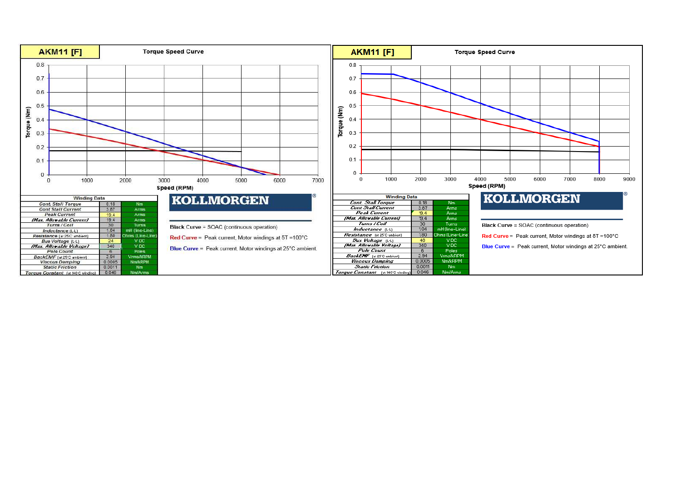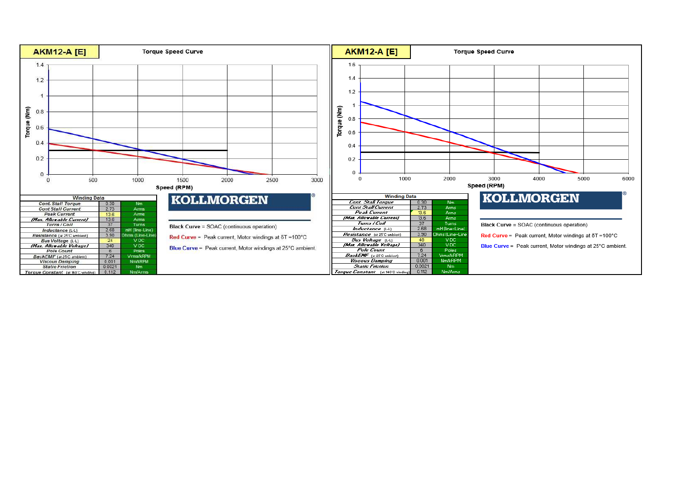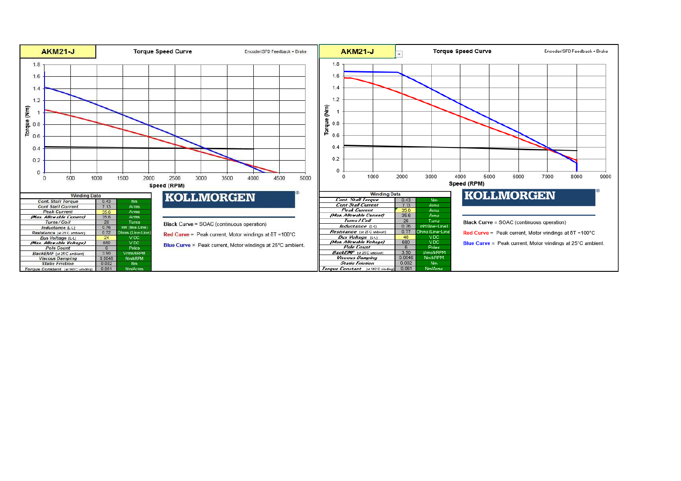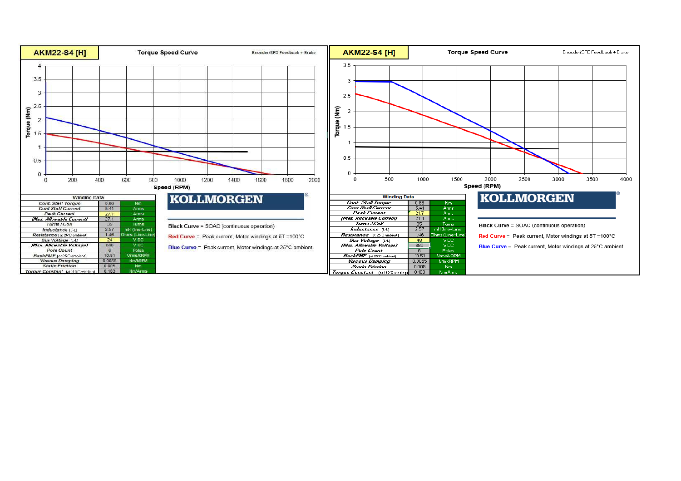